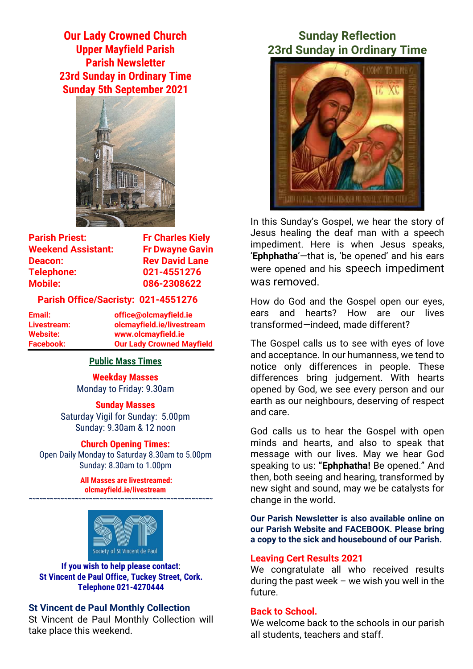**Our Lady Crowned Church Upper Mayfield Parish Parish Newsletter 23rd Sunday in Ordinary Time Sunday 5th September 2021**



| <b>Parish Priest:</b>     |
|---------------------------|
| <b>Weekend Assistant:</b> |
| Deacon:                   |
| Telephone:                |
| <b>Mobile:</b>            |

**Fr Charles Kiely Fr Dwayne Gavin Rev David Lane Telephone: 021-4551276 Mobile: 086-2308622** 

### **Parish Office/Sacristy: 021-4551276**

**Email: office@olcmayfield.ie Livestream: olcmayfield.ie/livestream Website: www.olcmayfield.ie Facebook: Our Lady Crowned Mayfield**

### **Public Mass Times**

**Weekday Masses** Monday to Friday: 9.30am

**Sunday Masses** Saturday Vigil for Sunday: 5.00pm

## Sunday: 9.30am & 12 noon **Church Opening Times:**

Open Daily Monday to Saturday 8.30am to 5.00pm Sunday: 8.30am to 1.00pm

> **All Masses are livestreamed: olcmayfield.ie/livestream**

**~~~~~~~~~~~~~~~~~~~~~~~~~~~~~~~~~~~~~~~~~~~~~~~~~~~~**



**If you wish to help please contact**: **St Vincent de Paul Office, Tuckey Street, Cork. Telephone 021-4270444**

### **St Vincent de Paul Monthly Collection**

St Vincent de Paul Monthly Collection will take place this weekend.

# **Sunday Reflection 23rd Sunday in Ordinary Time**



In this Sunday's Gospel, we hear the story of Jesus healing the deaf man with a speech impediment. Here is when Jesus speaks, '**Ephphatha**'—that is, 'be opened' and his ears were opened and his speech impediment was removed.

How do God and the Gospel open our eyes, ears and hearts? How are our lives transformed—indeed, made different?

The Gospel calls us to see with eyes of love and acceptance. In our humanness, we tend to notice only differences in people. These differences bring judgement. With hearts opened by God, we see every person and our earth as our neighbours, deserving of respect and care.

God calls us to hear the Gospel with open minds and hearts, and also to speak that message with our lives. May we hear God speaking to us: **"Ephphatha!** Be opened." And then, both seeing and hearing, transformed by new sight and sound, may we be catalysts for change in the world.

**Our Parish Newsletter is also available online on our Parish Website and FACEBOOK. Please bring a copy to the sick and housebound of our Parish.**

### **Leaving Cert Results 2021**

We congratulate all who received results during the past week  $-$  we wish you well in the future.

### **Back to School.**

We welcome back to the schools in our parish all students, teachers and staff.